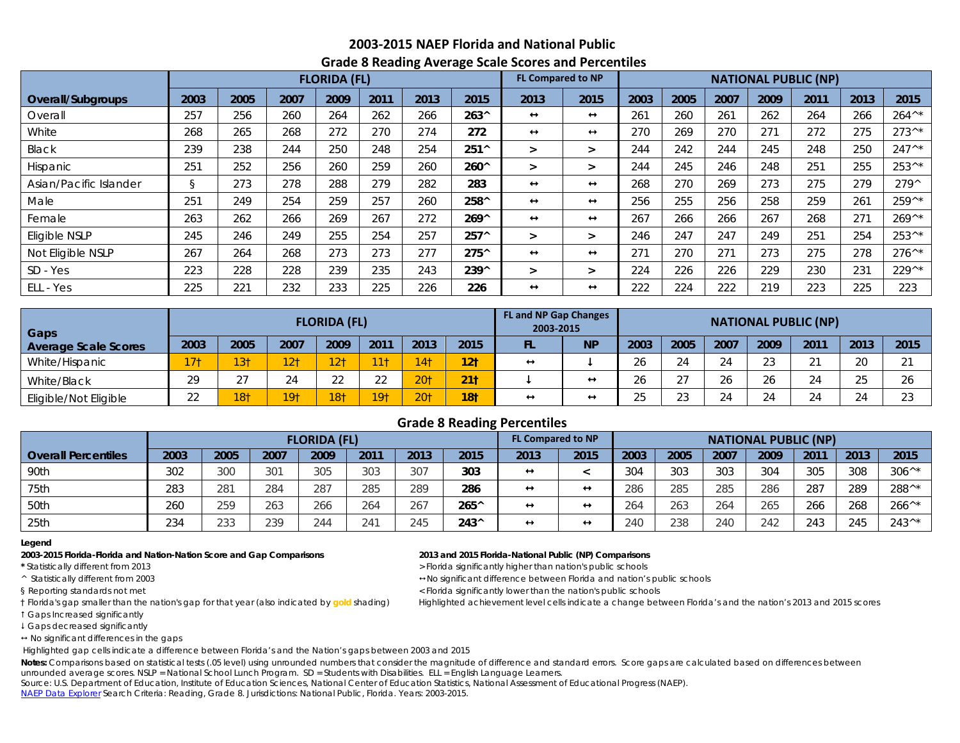# **2003-2015 NAEP Florida and National Public Grade 8 Reading Average Scale Scores and Percentiles**

|                        | ັ<br>ັ<br><b>FLORIDA (FL)</b> |      |      |      |      |      |                |                   | <b>FL Compared to NP</b> |      |      | <b>NATIONAL PUBLIC (NP)</b> |      |      |      |                  |  |  |
|------------------------|-------------------------------|------|------|------|------|------|----------------|-------------------|--------------------------|------|------|-----------------------------|------|------|------|------------------|--|--|
| Overall/Subgroups      | 2003                          | 2005 | 2007 | 2009 | 2011 | 2013 | 2015           | 2013              | 2015                     | 2003 | 2005 | 2007                        | 2009 | 2011 | 2013 | 2015             |  |  |
| Overall                | 257                           | 256  | 260  | 264  | 262  | 266  | $263^{\circ}$  | ↔                 | $\leftrightarrow$        | 261  | 260  | 261                         | 262  | 264  | 266  | $264^{\wedge *}$ |  |  |
| White                  | 268                           | 265  | 268  | 272  | 270  | 274  | 272            | $\leftrightarrow$ | $\leftrightarrow$        | 270  | 269  | 270                         | 271  | 272  | 275  | $273^{\wedge*}$  |  |  |
| Black                  | 239                           | 238  | 244  | 250  | 248  | 254  | $251^{\circ}$  | ⋗                 | $\geq$                   | 244  | 242  | 244                         | 245  | 248  | 250  | $247^{\wedge *}$ |  |  |
| <b>Hispanic</b>        | 251                           | 252  | 256  | 260  | 259  | 260  | $260^{\circ}$  | ⋗                 | $\geq$                   | 244  | 245  | 246                         | 248  | 251  | 255  | $253^{\wedge *}$ |  |  |
| Asian/Pacific Islander | ş                             | 273  | 278  | 288  | 279  | 282  | 283            | $\leftrightarrow$ | $\leftrightarrow$        | 268  | 270  | 269                         | 273  | 275  | 279  | $279^{\wedge}$   |  |  |
| Male                   | 251                           | 249  | 254  | 259  | 257  | 260  | 258^           | $\leftrightarrow$ | $\leftrightarrow$        | 256  | 255  | 256                         | 258  | 259  | 261  | $259^{\wedge *}$ |  |  |
| Female                 | 263                           | 262  | 266  | 269  | 267  | 272  | $269^{\circ}$  | ↔                 | $\leftrightarrow$        | 267  | 266  | 266                         | 267  | 268  | 271  | $269^{\wedge*}$  |  |  |
| Eligible NSLP          | 245                           | 246  | 249  | 255  | 254  | 257  | $257^{\circ}$  | ⋗                 | $\geq$                   | 246  | 247  | 247                         | 249  | 251  | 254  | $253^{\wedge *}$ |  |  |
| Not Eligible NSLP      | 267                           | 264  | 268  | 273  | 273  | 277  | $275^{\circ}$  | ↔                 | $\leftrightarrow$        | 271  | 270  | 271                         | 273  | 275  | 278  | $276^{\wedge *}$ |  |  |
| SD - Yes               | 223                           | 228  | 228  | 239  | 235  | 243  | $239^{\wedge}$ | >                 | $\geq$                   | 224  | 226  | 226                         | 229  | 230  | 231  | $229^{\wedge *}$ |  |  |
| ELL - Yes              | 225                           | 221  | 232  | 233  | 225  | 226  | 226            | $\leftrightarrow$ | $\leftrightarrow$        | 222  | 224  | 222                         | 219  | 223  | 225  | 223              |  |  |

| Gaps                        |                 |                 |                 | <b>FLORIDA (FL)</b> |                 |                 |                 | <b>FL and NP Gap Changes</b><br>2003-2015 |                   | <b>NATIONAL PUBLIC (NP)</b> |               |                 |      |      |         |        |  |  |  |
|-----------------------------|-----------------|-----------------|-----------------|---------------------|-----------------|-----------------|-----------------|-------------------------------------------|-------------------|-----------------------------|---------------|-----------------|------|------|---------|--------|--|--|--|
| <b>Average Scale Scores</b> | 2003            | 2005            | 2007            | 2009                | 2011            | 2013            | 2015            | FL                                        | <b>NP</b>         | 2003                        | 2005          | 2007            | 2009 | 2011 | 2013    | 2015   |  |  |  |
| White/Hispanic              | 17 <sub>1</sub> | 13 <sub>†</sub> | 12 <sub>1</sub> | 2 <sub>1</sub>      | 11 <sup>1</sup> | 4 <sup>†</sup>  | 12 <sub>1</sub> | $\leftrightarrow$                         |                   | 26                          | 24            | 24              | າາ   | 21   | 20      | $\sim$ |  |  |  |
| White/Black                 | 29              | $\sim$ $\neg$   | 24              | $\cap$              | $\cap$          | 20 <sub>1</sub> | 211             |                                           |                   | $\sim$                      | $\sim$ $\sim$ | 26              | 26   | 24   | つに<br>Z | 26     |  |  |  |
| Eligible/Not Eligible       | 22              | 18†             | 19†             | 18†                 | 19 <sub>1</sub> | 20 <sub>1</sub> | 18 <sub>1</sub> | $\leftrightarrow$                         | $\leftrightarrow$ | つに                          | $\cap$<br>ں ے | $\bigcap$<br>24 | 24   | 24   |         | $\cap$ |  |  |  |

## **Grade 8 Reading Percentiles**

|                            |      |               |      | <b>FLORIDA (FL)</b> |      |      |               | <b>FL Compared to NP</b> |                   | <b>NATIONAL PUBLIC (NP)</b> |      |      |      |      |      |                  |  |  |
|----------------------------|------|---------------|------|---------------------|------|------|---------------|--------------------------|-------------------|-----------------------------|------|------|------|------|------|------------------|--|--|
| <b>Overall Percentiles</b> | 2003 | 2005          | 2007 | 2009                | 2011 | 2013 | 2015          | 2013                     | 2015              | 2003                        | 2005 | 2007 | 2009 | 2011 | 2013 | 2015             |  |  |
| 90th                       | 302  | 300           | 301  | 305                 | 303  | 307  | 303           | $\rightarrow$            |                   | 304                         | 303  | 303  | 304  | 305  | 308  | $306^{\wedge*}$  |  |  |
| 75th                       | 283  | 281           | 284  | 287                 | 285  | 289  | 286           | $\leftrightarrow$        | $\leftrightarrow$ | 286                         | 285  | 285  | 286  | 287  | 289  | 288^*            |  |  |
| 50th                       | 260  | 259           | 263  | 266                 | 264  | 267  | $265^{\circ}$ | ↔                        | $\leftrightarrow$ | 264                         | 263  | 264  | 265  | 266  | 268  | $266^{\wedge*}$  |  |  |
| 25th                       | 234  | $\cap$<br>233 | 239  | 244                 | 241  | 245  | $243^{\circ}$ | $\leftrightarrow$        | $\leftrightarrow$ | 240                         | 238  | 240  | 242  | 243  | 245  | $243^{\wedge *}$ |  |  |

### **Legend**

### **2003-2015 Florida-Florida and Nation-Nation Score and Gap Comparisons 2013 and 2015 Florida-National Public (NP) Comparisons**

Gaps Increased significantly

Gaps decreased significantly

 $\leftrightarrow$  No significant differences in the gaps

Highlighted gap cells indicate a difference between Florida's and the Nation's gaps between 2003 and 2015

Notes: Comparisons based on statistical tests (.05 level) using unrounded numbers that consider the magnitude of difference and standard errors. Score gaps are calculated based on differences between unrounded average scores. NSLP = National School Lunch Program. SD = Students with Disabilities. ELL = English Language Learners.

Source: U.S. Department of Education, Institute of Education Sciences, National Center of Education Statistics, National Assessment of Educational Progress (NAEP). [NAEP Data Explorer](http://nces.ed.gov/nationsreportcard/naepdata/) Search Criteria: Reading, Grade 8. Jurisdictions: National Public, Florida. Years: 2003-2015.

\* Statistically different from 2013 **All and Statistically and Statistically higher than nation's public schools** 

^ Statistically different from 2003 No significant difference between Florida and nation's public schools

§ Reporting standards not met < Florida significantly lower than the nation's public schools

† Florida's gap smaller than the nation's gap for that year (also indicated by **gold** shading) Highlighted achievement level cells indicate a change between Florida's and the nation's 2013 and 2015 scores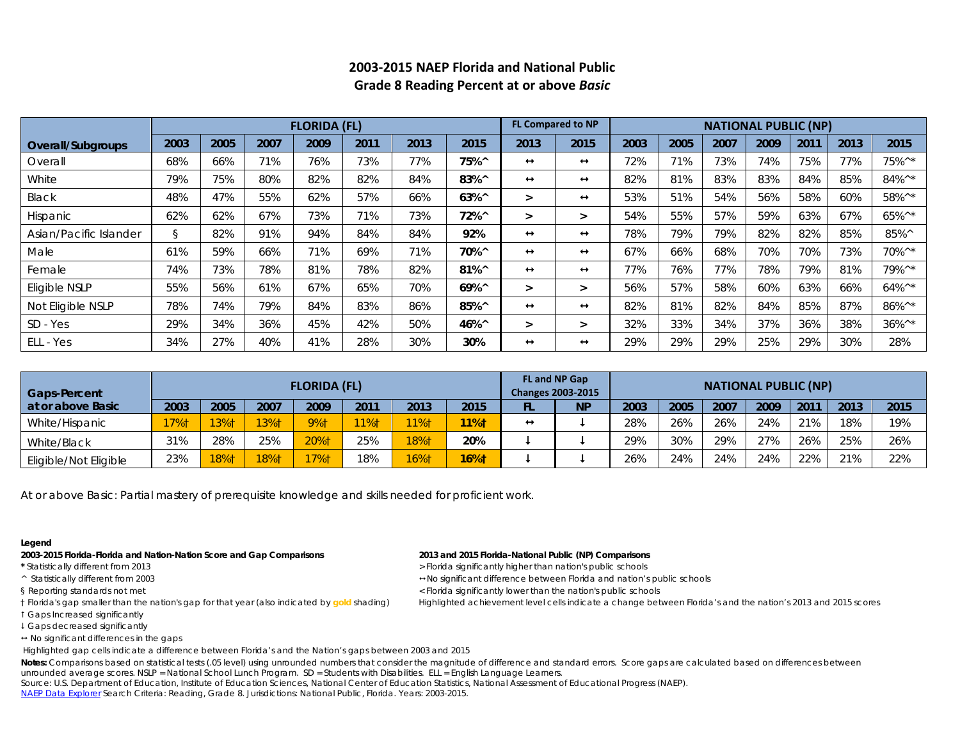|                        |      |      |      | <b>FLORIDA (FL)</b> |      |      |                | <b>FL Compared to NP</b><br><b>NATIONAL PUBLIC (NP)</b> |                   |      |      |      |      |      |      |                                        |
|------------------------|------|------|------|---------------------|------|------|----------------|---------------------------------------------------------|-------------------|------|------|------|------|------|------|----------------------------------------|
| Overall/Subgroups      | 2003 | 2005 | 2007 | 2009                | 2011 | 2013 | 2015           | 2013                                                    | 2015              | 2003 | 2005 | 2007 | 2009 | 2011 | 2013 | 2015                                   |
| Overall                | 68%  | 66%  | 71%  | 76%                 | 73%  | 77%  | 75%^           | $\leftrightarrow$                                       | $\leftrightarrow$ | 72%  | 71%  | 73%  | 74%  | 75%  | 77%  | 75%^*                                  |
| White                  | 79%  | 75%  | 80%  | 82%                 | 82%  | 84%  | 83%^           | $\leftrightarrow$                                       | $\leftrightarrow$ | 82%  | 81%  | 83%  | 83%  | 84%  | 85%  | 84%^*                                  |
| Black                  | 48%  | 47%  | 55%  | 62%                 | 57%  | 66%  | $63\%^{\circ}$ |                                                         | $\leftrightarrow$ | 53%  | 51%  | 54%  | 56%  | 58%  | 60%  | 58%^*                                  |
| Hispanic               | 62%  | 62%  | 67%  | 73%                 | 71%  | 73%  | 72%^           | $\geq$                                                  | ⋗                 | 54%  | 55%  | 57%  | 59%  | 63%  | 67%  | 65%^*                                  |
| Asian/Pacific Islander | S.   | 82%  | 91%  | 94%                 | 84%  | 84%  | 92%            | $\leftrightarrow$                                       | $\leftrightarrow$ | 78%  | 79%  | 79%  | 82%  | 82%  | 85%  | 85%^                                   |
| Male                   | 61%  | 59%  | 66%  | 71%                 | 69%  | 71%  | 70%^           | $\leftrightarrow$                                       | $\leftrightarrow$ | 67%  | 66%  | 68%  | 70%  | 70%  | 73%  | $70\%$ ^*                              |
| Female                 | 74%  | 73%  | 78%  | 81%                 | 78%  | 82%  | 81%^           | $\leftrightarrow$                                       | $\leftrightarrow$ | 77%  | 76%  | 77%  | 78%  | 79%  | 81%  | 79%^*                                  |
| Eligible NSLP          | 55%  | 56%  | 61%  | 67%                 | 65%  | 70%  | $69\%^{\circ}$ | ⋗                                                       | $\geq$            | 56%  | 57%  | 58%  | 60%  | 63%  | 66%  | $64\%$ <sup>^*</sup>                   |
| Not Eligible NSLP      | 78%  | 74%  | 79%  | 84%                 | 83%  | 86%  | 85%^           | $\leftrightarrow$                                       | $\leftrightarrow$ | 82%  | 81%  | 82%  | 84%  | 85%  | 87%  | 86%^*                                  |
| SD - Yes               | 29%  | 34%  | 36%  | 45%                 | 42%  | 50%  | 46%^           | $\geq$                                                  | $\geq$            | 32%  | 33%  | 34%  | 37%  | 36%  | 38%  | $36\%$ <sup><math>\wedge</math>*</sup> |
| ELL - Yes              | 34%  | 27%  | 40%  | 41%                 | 28%  | 30%  | 30%            | $\leftrightarrow$                                       | $\leftrightarrow$ | 29%  | 29%  | 29%  | 25%  | 29%  | 30%  | 28%                                    |

## **2003-2015 NAEP Florida and National Public Grade 8 Reading Percent at or above** *Basic*

| Gaps-Percent          |      |      |      | <b>FLORIDA (FL)</b> |      |      |         |                   | FL and NP Gap<br><b>Changes 2003-2015</b> | <b>NATIONAL PUBLIC (NP)</b> |      |      |      |      |      |      |  |  |  |
|-----------------------|------|------|------|---------------------|------|------|---------|-------------------|-------------------------------------------|-----------------------------|------|------|------|------|------|------|--|--|--|
| at or above Basic     | 2003 | 2005 | 2007 | 2009                | 2011 | 2013 | 2015    |                   | <b>NP</b>                                 | 2003                        | 2005 | 2007 | 2009 | 2011 | 2013 | 2015 |  |  |  |
| White/Hispanic        | 17%† | 13%1 | 13%† | <b>9%1</b>          | 11%† | 11%† | 11%     | $\leftrightarrow$ |                                           | 28%                         | 26%  | 26%  | 24%  | 21%  | 18%  | 19%  |  |  |  |
| White/Black           | 31%  | 28%  | 25%  | 20%1                | 25%  | 18%† | 20%     |                   |                                           | 29%                         | 30%  | 29%  | 27%  | 26%  | 25%  | 26%  |  |  |  |
| Eligible/Not Eligible | 23%  | 18%1 | 18%† | $7%$ †              | 18%  | 16%† | $16%$ † |                   |                                           | 26%                         | 24%  | 24%  | 24%  | 22%  | 21%  | 22%  |  |  |  |

At or above *Basic*: Partial mastery of prerequisite knowledge and skills needed for proficient work.

### **Legend**

**2003-2015 Florida-Florida and Nation-Nation Score and Gap Comparisons 2013 and 2015 Florida-National Public (NP) Comparisons**

- 
- 
- 
- 
- Gaps Increased significantly
- Gaps decreased significantly
- $\leftrightarrow$  No significant differences in the gaps

Highlighted gap cells indicate a difference between Florida's and the Nation's gaps between 2003 and 2015

Notes: Comparisons based on statistical tests (.05 level) using unrounded numbers that consider the magnitude of difference and standard errors. Score gaps are calculated based on differences between unrounded average scores. NSLP = National School Lunch Program. SD = Students with Disabilities. ELL = English Language Learners.

Source: U.S. Department of Education, Institute of Education Sciences, National Center of Education Statistics, National Assessment of Educational Progress (NAEP). [NAEP Data Explorer](http://nces.ed.gov/nationsreportcard/naepdata/) Search Criteria: Reading, Grade 8. Jurisdictions: National Public, Florida. Years: 2003-2015.

- \* Statistically different from 2013 **All and Statistically and Statistically higher than nation's public schools**
- ^ Statistically different from 2003 No significant difference between Florida and nation's public schools
- § Reporting standards not met < Florida significantly lower than the nation's public schools
- † Florida's gap smaller than the nation's gap for that year (also indicated by **gold** shading) Highlighted achievement level cells indicate a change between Florida's and the nation's 2013 and 2015 scores